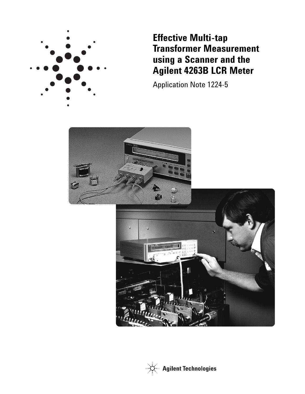

**Effective Multi-tap Transformer Measurement using a Scanner and the Agilent 4263B LCR Meter**

Application Note 1224-5



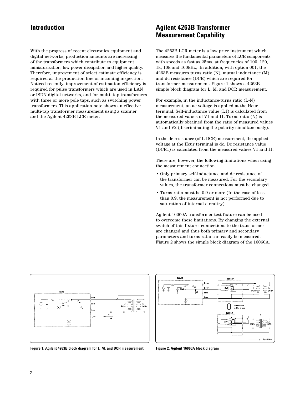With the progress of recent electronics equipment and digital networks, production amounts are increasing of the transformers which contribute to equipment miniaturization, low power dissipation and higher quality. Therefore, improvement of select estimate efficiency is required at the production line or incoming inspection. Noticed recently, improvement of estimation efficiency is required for pulse transformers which are used in LAN or ISDN digital networks, and for multi.-tap transformers with three or more pole taps, such as switching power transformers. This application note shows an effective multi-tap transformer measurement using a scanner and the Agilent 4263B LCR meter.

## **Introduction Magilent 4263B Transformer Measurement Capability**

The 4263B LCR meter is a low price instrument which measures the fundamental parameters of LCR components with speeds as fast as 25ms, at frequencies of 100, 120, 1k, 10k and 100kHz, In addition, with option 001, the 4263B measures turns ratio (N), mutual inductance (M) and dc resistance (DCR) which are required for transformer measurement. Figure 1 shows a 4263B simple block diagram for L, M, and DCR measurement.

For example, in the inductance-turns ratio (L-N) measurement, an ac voltage is applied at the Hcur terminal. Self-inductance value (L1) is calculated from the measured values of V1 and I1. Turns ratio (N) is automatically obtained from the ratio of measured values V1 and V2 (discriminating the polarity simultaneously).

In the dc resistance (of L-DCR) measurement, the applied voltage at the Hcur terminal is dc. Dc resistance value (DCR1) is calculated from the measured values V1 and I1.

There are, however, the following limitations when using the measurement connection.

- Only primary self-inductance and dc resistance of the transformer can be measured. For the secondary values, the transformer connections must be changed.
- Turns ratio must be 0.9 or more (In the case of less than 0.9, the measurement is not performed due to saturation of internal circuitry).

Agilent 16060A transformer test fixture can be used to overcome these limitations. By changing the external switch of this fixture, connections to the transformer are changed and thus both primary and secondary parameters and turns ratio can easily be measured. Figure 2 shows the simple block diagram of the 16060A.





**Figure 1. Agilent 4263B block diagram for L, M, and DCR measurement Figure 2. Agilent 16060A block diagram**

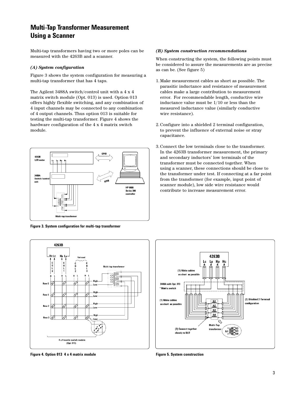# **Multi-Tap Transformer Measurement Using a Scanner**

Multi-tap transformers having two or more poles can be measured with the 4263B and a scanner.

#### *(A) System configuration*

Figure 3 shows the system configuration for measuring a multi-tap transformer that has 4 taps.

The Agilent 3488A switch/control unit with a 4 x 4 matrix switch module (Opt. 013) is used. Option 013 offers highly flexible switching, and any combination of 4 input channels may be connected to any combination of 4 output channels. Thus option 013 is suitable for testing the multi-tap transformer. Figure 4 shows the hardware configuration of the 4 x 4 matrix switch module.



.<br>Multi-tap transforme

**Figure 3. System configuration for multi-tap transformer**

 $\frac{1}{2}$ 

نبدا

W

ど

W

 $4 \times 4$  matrix switch module<br>(Opt. 013)

High

. Low

High

Low.

High

4263B

Hc Lc Hp

Row 0 い

Row 1

Row 2  $\overline{y}$ 

Row 3  $\sqrt{2}$ 



When constructing the system, the following points must be considered to assure the measurements are as precise as can be. (See figure 5)

- 1. Make measurement cables as short as possible. The parasitic inductance and resistance of measurement cables make a large contribution to measurement error. For recommendable length, conductive wire inductance value must be 1/10 or less than the measured inductance value (similarly conductive wire resistance).
- 2. Configure into a shielded 2 terminal configuration, to prevent the influence of external noise or stray capacitance.
- 3. Connect the low terminals close to the transformer. In the 4263B transformer measurement, the primary and secondary inductors' low terminals of the transformer must be connected together. When using a scanner, these connections should be close to the transformer under test. If connecting at a far point from the transformer (for example, input point of scanner module), low side wire resistance would contribute to increase measurement error.



**Figure 4. Option 013 4 x 4 matrix module Figure 5. System construction**

Á

T,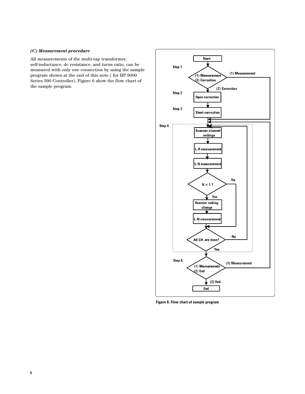#### *(C) Measurement procedure*

All measurements of the multi-tap transformer, self-inductance, dc resistance, and turns ratio, can be measured with only one connection by using the sample program shown at the end of this note ( for HP 9000 Series 300 Controller). Figure 6 show the flow chart of the sample program.



**Figure 6. Flow chart of sample program**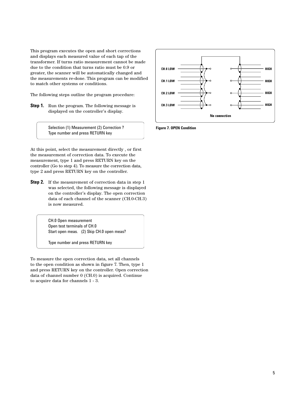This program executes the open and short corrections and displays each measured value of each tap of the transformer. If turns ratio measurement cannot be made due to the condition that turns ratio must be 0.9 or greater, the scanner will be automatically changed and the measurements re-done. This program can be modified to match other systems or conditions.

The following steps outline the program procedure:

**Step 1.** Run the program. The following message is displayed on the controller's display.



Selection (1) Measurement (2) Correction ? Type number and press RETURN key

At this point, select the measurement directly , or first the measurement of correction data. To execute the measurement, type 1 and press RETURN key on the controller (Go to step 4). To measure the correction data, type 2 and press RETURN key on the controller.

**Step 2.** If the measurement of correction data in step 1 was selected, the following message is displayed on the controller's display. The open correction data of each channel of the scanner (CH.0-CH.3) is now measured.

> CH.0 Open measurement Open test terminals of CH.0 Start open meas. (2) Skip CH.0 open meas?

Type number and press RETURN key

To measure the open correction data, set all channels to the open condition as shown in figure 7. Then, type 1 and press RETURN key on the controller. Open correction data of channel number 0 (CH.0) is acquired. Continue to acquire data for channels 1 - 3.

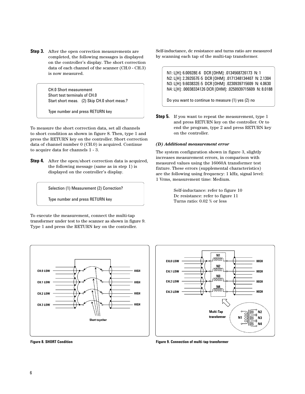**Step 3.** After the open correction measurements are completed, the following messages is displayed on the controller's display. The short correction data of each channel of the scanner (CH.0 - CH.3) is now measured.

> CH.0 Short measurement Short test terminals of CH.0 Start short meas. (2) Skip CH.0 short meas.?

Type number and press RETURN key

To measure the short correction data, set all channels to short condition as shown in figure 8. Then, type 1 and press the RETURN key on the controller. Short correction data of channel number 0 (CH.0) is acquired. Continue to acquire data for channels 1 - 3.

**Step 4.** After the open/short correction data is acquired, the following message (same as in step 1) is displayed on the controller's display.

Selection (1) Measurement (2) Correction?

Type number and press RETURN key

To execute the measurement, connect the multi-tap transformer under test to the scanner as shown in figure 9. Type 1 and press the RETURN key on the controller.



Self-inductance, dc resistance and turns ratio are measured by scanning each tap of the multi-tap transformer.

N1: L[H]: 6.00928E-6 DCR [OHM]: .0134568726173 N: 1 N2: L[H]: 2.392557E-5 DCR [OHM]: .0171348134407 N: 2.1304 N3: L[H]: 9.603832E-5 DCR [OHM]: .0230939715609 N: 4.0630 N4: L[H]: .00038334126 DCR [OHM]: .0250939715609 N: 8.0188

Do you want to continue to measure (1) yes (2) no

**Step 5.** If you want to repeat the measurement, type 1 and press RETURN key on the controller. Or to end the program, type 2 and press RETURN key on the controller.

### *(D) Additional measurement error*

The system configuration shown in figure 3, slightly increases measurement errors, in comparison with measured values using the 16060A transformer test fixture. These errors (supplemental characteristics) are the following using frequency: 1 kHz, signal level: 1 Vrms, measurement time: Medium.

> Self-inductance: refer to figure 10 Dc resistance: refer to figure 11 Turns ratio: 0.02 % or less



**Figure 8. SHORT Condition Figure 9. Connection of multi-tap transformer**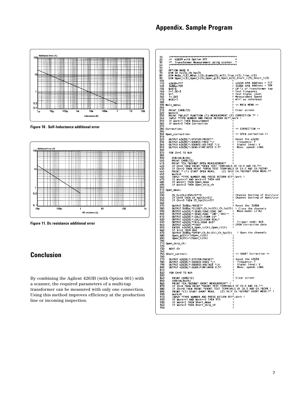## **Appendix. Sample Program**



**Figure 10 . Self-Inductance additional error**



**Figure 11. Dc resistance additional error**

# **Conclusion**

By combining the Agilent 4263B (with Option 001) with a scanner, the required parameters of a multi-tap transformer can be measured with only one connection. Using this method improves efficiency at the production line or incoming inspection.

```
|<br>|DIM Ch hc(3),Ch hp(3)<br>|DIM Meas_r(3),Meas_l(3),Dummy(3),N(3),True_r(3),True_l(3)<br>|DIM Meas_r(3),Meas_l(3),Open_g(3),Open_b(3),Short_r(3),Short_l(3)<br>|263B-209||2010 ||2010 ||2010 ||2010 ||2010 ||2010 ||2010 ||2010 ||2010
                                                                                                                                          A<br>
4263B CPIB Address = 717<br>
3488A CPIB Address = 709<br>
(#1) of Transformer tap<br>
Test Frequency<br>
Test Frequency<br>
Measurement Speed<br>
N1=1 as reference
                                                                                                                                           << MAIN MEMU >>
                 PRINT CHR$(12)<br>Work=0<br>PRINT "SELECT FUNCTION (1) MEASUREMENT (2) CORRECTION ?" !<br>IPUT "TYPE NUMBER AND PRESS RETURN KEY", Work !<br>IF Work=2 THEN Correction<br>IF Work=2 THEN Correction
                                                                                                                                           << CORRECTION >>
             Open_correction:
                                                                                                                                           << OPEN correction >>
                  OUTPUT 4263B;":SYSTEM:PRESET"<br>OUTPUT 4263B;":SOURCE:FREQ ";F<br>OUTPUT 4263B;":SOURCE:VOLTAGE ";V<br>OUTPUT 4263B;":SENS:FIMP:APER 0.5"
                                                                                                                                           Reset the 4263B<br>Frequency: F<br>Signal level: V<br>Meas. speed: LONG
                  FOR Ch=0 TO Nch
                       Chs=VALS(Ch)<br>PRINT CHRS(12)<br>PRINT "CHRS(12)<br>IF Ch=O THEN PRINT "OPEN MEASUREMENT"<br>IF Ch=O THEN PRINT "OPEN TEST TERMINALS OF CH.O AND CH."&Ch$!<br>PRINT " (1) START OPEN MEAS. (2) SKIP CH."&Ch$&" OPEN MEAS.?"<br>Work=O
                       PRINT " (1) START OPEN MEAS. (2) SKIP CH."&C<br>
INPUT "TYPE NUMBER AND PRESS RETURN KEY", Work !<br>
IF Work<>1 AND Work<>2 THEN 460<br>
IF Work<>1 THEN Open_meas<br>
IF Work=1 THEN Open_meas<br>
IF Work=2 THEN Open_skip_ch<br>
IF Work=2 T
                       Ch_hc(Ch)=200+Ch*10<br>IF<sup>-</sup>Ch=0 THEN Ch_hp(Ch)=211<br>IF Ch<>0 THEN Ch_hp(Ch)=201
                                                                                                                                            Channel Setting of Hour/Lour<br>Channel Setting of Hpot/Lour
                       1+ Ch<>0 THEN Ch_nptCh)=201<br>
0UTPUT 3488a: "CLOSE": Ch_nc(Ch), Ch_np(Ch)<br>
0UTPUT 4263B;": SENS: FUNC: CONC ON"<br>
0UTPUT 4263B;": SENS: FUNC: CONC ON"<br>
0UTPUT 4263B; ": CALC1: FORM LS"<br>
0UTPUT 4263B; ": CALC1: FORM LS"<br>
0UTP
                                                                                                                                            Reset the 3488A
                                                                                                                                            ! Close the channels<br>Meas.mode: L2-R2
                                                                                                                                            Trigger mode: BUS<br>OPEN correction data
                                                                                                                                               ! Open the channels
            Short_correct:
                                                                                                                                             << SHORT Correction >>
                  OUTPUT 4263B;":SYSTEM:PRESET"<br>OUTPUT 4263B;":SOURCE:FREQ ";F<br>OUTPUT 4263B;":SOURCE:VOLTAGE ";V<br>OUTPUT 4263B;":SENS:FIMP:APER 0.5"
                                                                                                                                             Reset the 4263B
                                                                                                                                              Frequency: F<br>Signal level: V<br>Meas, speed: LONG
                  FOR Ch=0 TO Nch
                        PRINT CHR$(12)
                                                                                                                                           Clear screen
                       PRINT CHR$(12)<br>
PRINT CHR$(Ch)<br>
Che=VAL$(Ch)<br>
PRINT "CH."SCh$&" SHORT MEASUREMENT" !<br>
IF Ch-O THEM PRINT "SHORT TEST TERMINALS OF CH.O AND CH.1"!<br>
IF Ch-O THEM PRINT "SHORT TEST TERMINALS OF CH.O AND CH."SCh$!<br>
PRINT "(1)
```